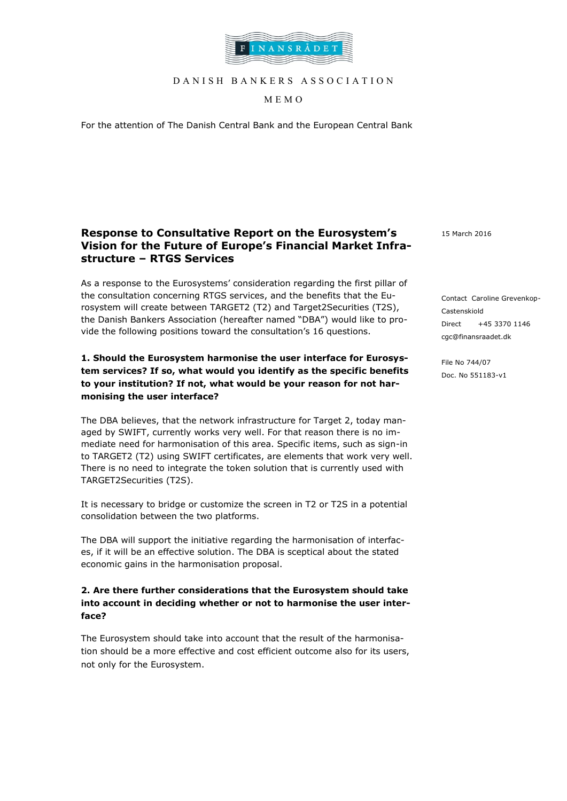

D A N I S H B A N K E R S A S S O C I A T I O N

MEMO

For the attention of The Danish Central Bank and the European Central Bank

# **Response to Consultative Report on the Eurosystem's Vision for the Future of Europe's Financial Market Infrastructure – RTGS Services**

As a response to the Eurosystems' consideration regarding the first pillar of the consultation concerning RTGS services, and the benefits that the Eurosystem will create between TARGET2 (T2) and Target2Securities (T2S), the Danish Bankers Association (hereafter named "DBA") would like to provide the following positions toward the consultation's 16 questions.

## **1. Should the Eurosystem harmonise the user interface for Eurosystem services? If so, what would you identify as the specific benefits to your institution? If not, what would be your reason for not harmonising the user interface?**

The DBA believes, that the network infrastructure for Target 2, today managed by SWIFT, currently works very well. For that reason there is no immediate need for harmonisation of this area. Specific items, such as sign-in to TARGET2 (T2) using SWIFT certificates, are elements that work very well. There is no need to integrate the token solution that is currently used with TARGET2Securities (T2S).

It is necessary to bridge or customize the screen in T2 or T2S in a potential consolidation between the two platforms.

The DBA will support the initiative regarding the harmonisation of interfaces, if it will be an effective solution. The DBA is sceptical about the stated economic gains in the harmonisation proposal.

#### **2. Are there further considerations that the Eurosystem should take into account in deciding whether or not to harmonise the user interface?**

The Eurosystem should take into account that the result of the harmonisation should be a more effective and cost efficient outcome also for its users, not only for the Eurosystem.

15 March 2016

Contact Caroline Grevenkop-Castenskiold Direct +45 3370 1146 cgc@finansraadet.dk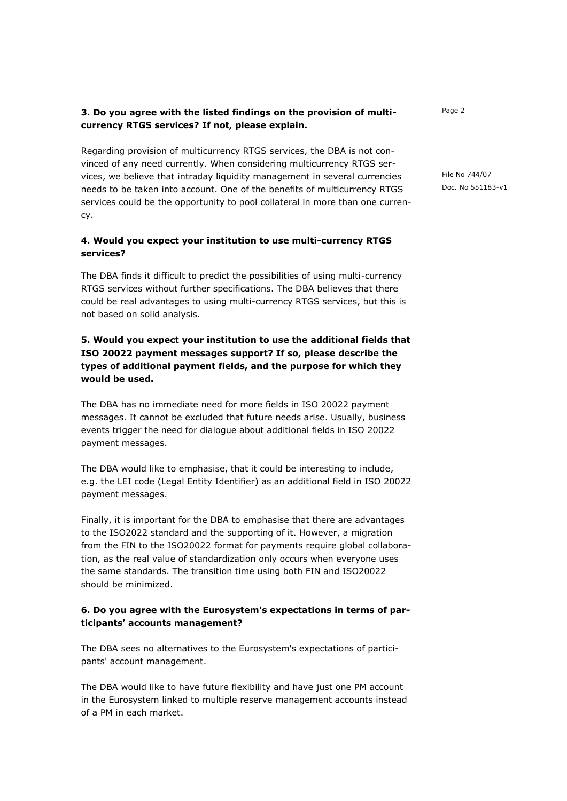#### **3. Do you agree with the listed findings on the provision of multicurrency RTGS services? If not, please explain.**

Regarding provision of multicurrency RTGS services, the DBA is not convinced of any need currently. When considering multicurrency RTGS services, we believe that intraday liquidity management in several currencies needs to be taken into account. One of the benefits of multicurrency RTGS services could be the opportunity to pool collateral in more than one currency.

#### **4. Would you expect your institution to use multi-currency RTGS services?**

The DBA finds it difficult to predict the possibilities of using multi-currency RTGS services without further specifications. The DBA believes that there could be real advantages to using multi-currency RTGS services, but this is not based on solid analysis.

# **5. Would you expect your institution to use the additional fields that ISO 20022 payment messages support? If so, please describe the types of additional payment fields, and the purpose for which they would be used.**

The DBA has no immediate need for more fields in ISO 20022 payment messages. It cannot be excluded that future needs arise. Usually, business events trigger the need for dialogue about additional fields in ISO 20022 payment messages.

The DBA would like to emphasise, that it could be interesting to include, e.g. the LEI code (Legal Entity Identifier) as an additional field in ISO 20022 payment messages.

Finally, it is important for the DBA to emphasise that there are advantages to the ISO2022 standard and the supporting of it. However, a migration from the FIN to the ISO20022 format for payments require global collaboration, as the real value of standardization only occurs when everyone uses the same standards. The transition time using both FIN and ISO20022 should be minimized.

#### **6. Do you agree with the Eurosystem's expectations in terms of participants' accounts management?**

The DBA sees no alternatives to the Eurosystem's expectations of participants' account management.

The DBA would like to have future flexibility and have just one PM account in the Eurosystem linked to multiple reserve management accounts instead of a PM in each market.

Page 2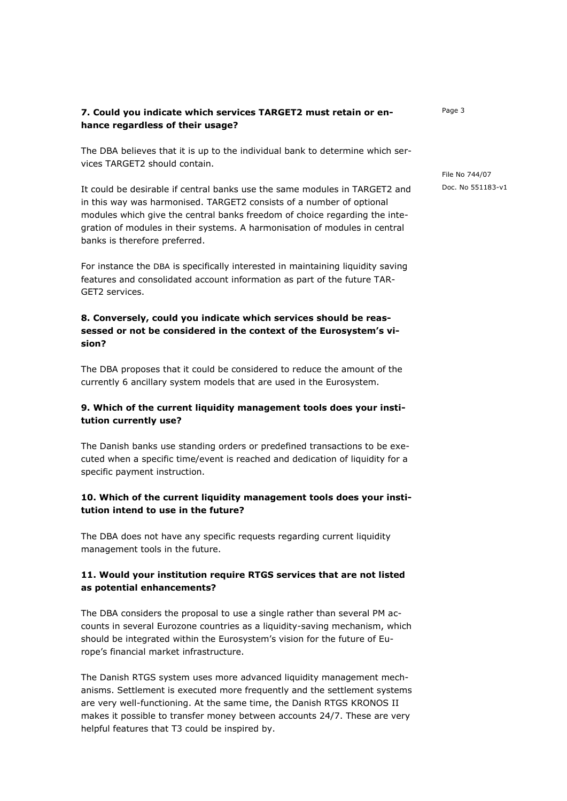## **7. Could you indicate which services TARGET2 must retain or enhance regardless of their usage?**

The DBA believes that it is up to the individual bank to determine which services TARGET2 should contain.

It could be desirable if central banks use the same modules in TARGET2 and in this way was harmonised. TARGET2 consists of a number of optional modules which give the central banks freedom of choice regarding the integration of modules in their systems. A harmonisation of modules in central banks is therefore preferred.

For instance the DBA is specifically interested in maintaining liquidity saving features and consolidated account information as part of the future TAR-GET2 services.

## **8. Conversely, could you indicate which services should be reassessed or not be considered in the context of the Eurosystem's vision?**

The DBA proposes that it could be considered to reduce the amount of the currently 6 ancillary system models that are used in the Eurosystem.

## **9. Which of the current liquidity management tools does your institution currently use?**

The Danish banks use standing orders or predefined transactions to be executed when a specific time/event is reached and dedication of liquidity for a specific payment instruction.

## **10. Which of the current liquidity management tools does your institution intend to use in the future?**

The DBA does not have any specific requests regarding current liquidity management tools in the future.

## **11. Would your institution require RTGS services that are not listed as potential enhancements?**

The DBA considers the proposal to use a single rather than several PM accounts in several Eurozone countries as a liquidity-saving mechanism, which should be integrated within the Eurosystem's vision for the future of Europe's financial market infrastructure.

The Danish RTGS system uses more advanced liquidity management mechanisms. Settlement is executed more frequently and the settlement systems are very well-functioning. At the same time, the Danish RTGS KRONOS II makes it possible to transfer money between accounts 24/7. These are very helpful features that T3 could be inspired by.

Page 3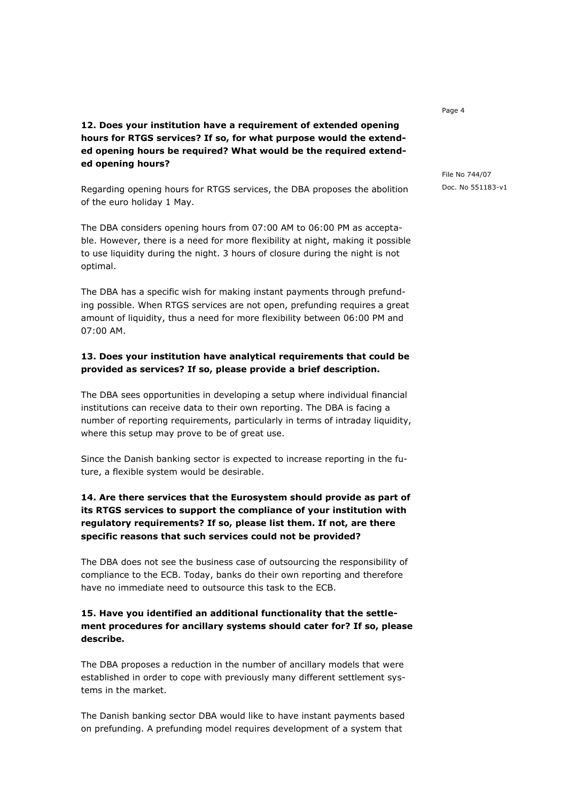## **12. Does your institution have a requirement of extended opening hours for RTGS services? If so, for what purpose would the extended opening hours be required? What would be the required extended opening hours?**

Regarding opening hours for RTGS services, the DBA proposes the abolition of the euro holiday 1 May.

The DBA considers opening hours from 07:00 AM to 06:00 PM as acceptable. However, there is a need for more flexibility at night, making it possible to use liquidity during the night. 3 hours of closure during the night is not optimal.

The DBA has a specific wish for making instant payments through prefunding possible. When RTGS services are not open, prefunding requires a great amount of liquidity, thus a need for more flexibility between 06:00 PM and 07:00 AM.

#### **13. Does your institution have analytical requirements that could be provided as services? If so, please provide a brief description.**

The DBA sees opportunities in developing a setup where individual financial institutions can receive data to their own reporting. The DBA is facing a number of reporting requirements, particularly in terms of intraday liquidity, where this setup may prove to be of great use.

Since the Danish banking sector is expected to increase reporting in the future, a flexible system would be desirable.

# **14. Are there services that the Eurosystem should provide as part of its RTGS services to support the compliance of your institution with regulatory requirements? If so, please list them. If not, are there specific reasons that such services could not be provided?**

The DBA does not see the business case of outsourcing the responsibility of compliance to the ECB. Today, banks do their own reporting and therefore have no immediate need to outsource this task to the ECB.

#### **15. Have you identified an additional functionality that the settlement procedures for ancillary systems should cater for? If so, please describe.**

The DBA proposes a reduction in the number of ancillary models that were established in order to cope with previously many different settlement systems in the market.

The Danish banking sector DBA would like to have instant payments based on prefunding. A prefunding model requires development of a system that

Page 4